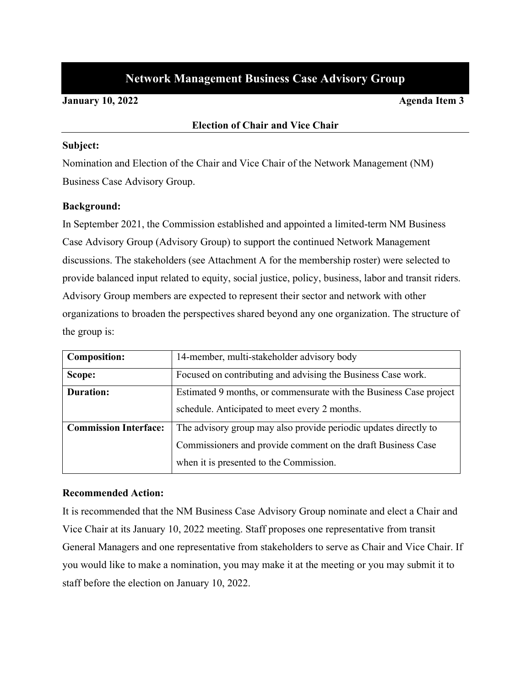# **Network Management Business Case Advisory Group**

#### **January 10, 2022 Agenda Item 3**

#### **Election of Chair and Vice Chair**

#### **Subject:**

Nomination and Election of the Chair and Vice Chair of the Network Management (NM) Business Case Advisory Group.

#### **Background:**

In September 2021, the Commission established and appointed a limited-term NM Business Case Advisory Group (Advisory Group) to support the continued Network Management discussions. The stakeholders (see Attachment A for the membership roster) were selected to provide balanced input related to equity, social justice, policy, business, labor and transit riders. Advisory Group members are expected to represent their sector and network with other organizations to broaden the perspectives shared beyond any one organization. The structure of the group is:

| <b>Composition:</b>          | 14-member, multi-stakeholder advisory body                         |
|------------------------------|--------------------------------------------------------------------|
| Scope:                       | Focused on contributing and advising the Business Case work.       |
| <b>Duration:</b>             | Estimated 9 months, or commensurate with the Business Case project |
|                              | schedule. Anticipated to meet every 2 months.                      |
| <b>Commission Interface:</b> | The advisory group may also provide periodic updates directly to   |
|                              | Commissioners and provide comment on the draft Business Case       |
|                              | when it is presented to the Commission.                            |

#### **Recommended Action:**

It is recommended that the NM Business Case Advisory Group nominate and elect a Chair and Vice Chair at its January 10, 2022 meeting. Staff proposes one representative from transit General Managers and one representative from stakeholders to serve as Chair and Vice Chair. If you would like to make a nomination, you may make it at the meeting or you may submit it to staff before the election on January 10, 2022.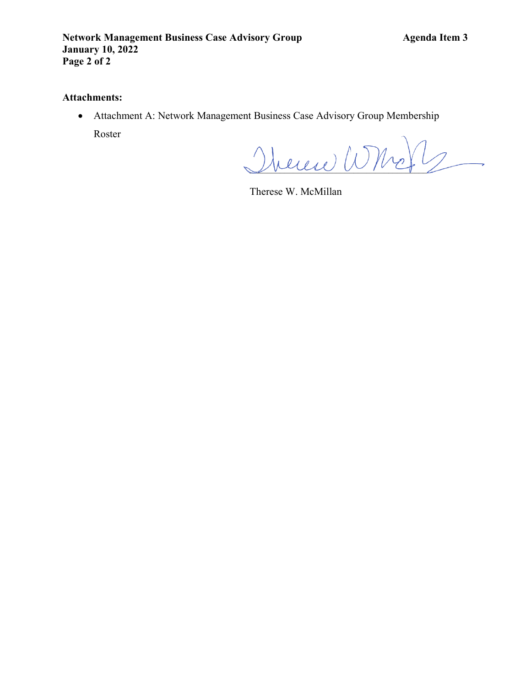### **Attachments:**

• Attachment A: Network Management Business Case Advisory Group Membership Roster

 $\mathcal{D}$ heren $\mathcal{D}$ 

Therese W. McMillan